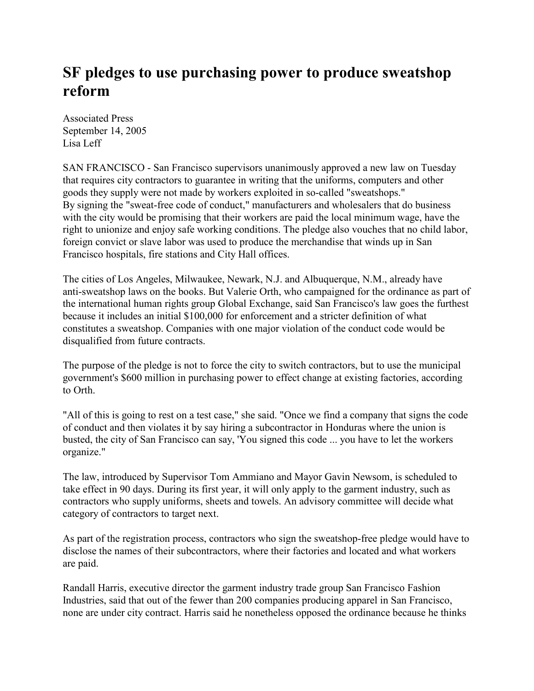## **SF pledges to use purchasing power to produce sweatshop reform**

Associated Press September 14, 2005 Lisa Leff

SAN FRANCISCO - San Francisco supervisors unanimously approved a new law on Tuesday that requires city contractors to guarantee in writing that the uniforms, computers and other goods they supply were not made by workers exploited in so-called "sweatshops." By signing the "sweat-free code of conduct," manufacturers and wholesalers that do business with the city would be promising that their workers are paid the local minimum wage, have the right to unionize and enjoy safe working conditions. The pledge also vouches that no child labor, foreign convict or slave labor was used to produce the merchandise that winds up in San Francisco hospitals, fire stations and City Hall offices.

The cities of Los Angeles, Milwaukee, Newark, N.J. and Albuquerque, N.M., already have anti-sweatshop laws on the books. But Valerie Orth, who campaigned for the ordinance as part of the international human rights group Global Exchange, said San Francisco's law goes the furthest because it includes an initial \$100,000 for enforcement and a stricter definition of what constitutes a sweatshop. Companies with one major violation of the conduct code would be disqualified from future contracts.

The purpose of the pledge is not to force the city to switch contractors, but to use the municipal government's \$600 million in purchasing power to effect change at existing factories, according to Orth.

"All of this is going to rest on a test case," she said. "Once we find a company that signs the code of conduct and then violates it by say hiring a subcontractor in Honduras where the union is busted, the city of San Francisco can say, 'You signed this code ... you have to let the workers organize."

The law, introduced by Supervisor Tom Ammiano and Mayor Gavin Newsom, is scheduled to take effect in 90 days. During its first year, it will only apply to the garment industry, such as contractors who supply uniforms, sheets and towels. An advisory committee will decide what category of contractors to target next.

As part of the registration process, contractors who sign the sweatshop-free pledge would have to disclose the names of their subcontractors, where their factories and located and what workers are paid.

Randall Harris, executive director the garment industry trade group San Francisco Fashion Industries, said that out of the fewer than 200 companies producing apparel in San Francisco, none are under city contract. Harris said he nonetheless opposed the ordinance because he thinks